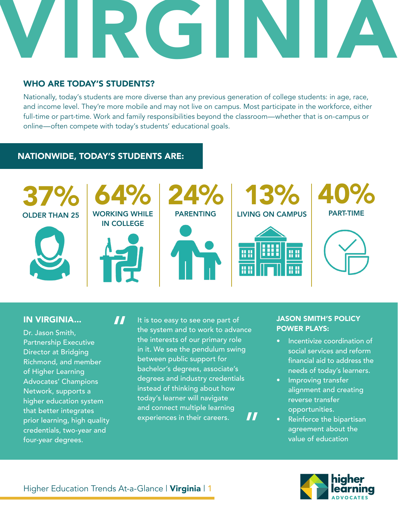# VIRGINIA

### WHO ARE TODAY'S STUDENTS?

Nationally, today's students are more diverse than any previous generation of college students: in age, race, and income level. They're more mobile and may not live on campus. Most participate in the workforce, either full-time or part-time. Work and family responsibilities beyond the classroom—whether that is on-campus or online—often compete with today's students' educational goals.

### NATIONWIDE, TODAY'S STUDENTS ARE:



### IN VIRGINIA...

Dr. Jason Smith, Partnership Executive Director at Bridging Richmond, and member of Higher Learning Advocates' Champions Network, supports a higher education system that better integrates prior learning, high quality credentials, two-year and four-year degrees.

It is too easy to see one part of the system and to work to advance the interests of our primary role in it. We see the pendulum swing between public support for bachelor's degrees, associate's degrees and industry credentials instead of thinking about how today's learner will navigate and connect multiple learning experiences in their careers. "

### JASON SMITH'S POLICY POWER PLAYS:

- Incentivize coordination of social services and reform financial aid to address the needs of today's learners.
- Improving transfer alignment and creating reverse transfer opportunities.
- Reinforce the bipartisan agreement about the value of education



"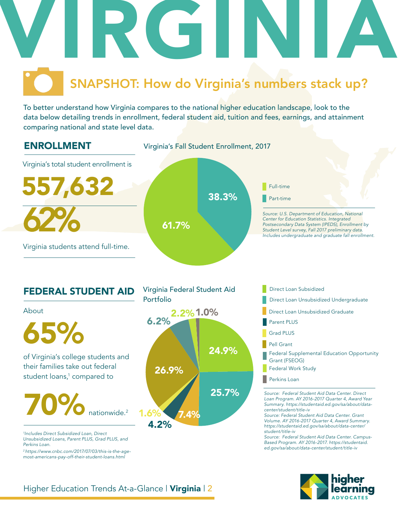

To better understand how Virginia compares to the national higher education landscape, look to the data below detailing trends in enrollment, federal student aid, tuition and fees, earnings, and attainment comparing national and state level data.



### FEDERAL STUDENT AID



of Virginia's college students and **24.9%** their families take out federal student loans,<sup>1</sup> compared to 65%

70% nationwide. 2

*1 Includes Direct Subsidized Loan, Direct Unsubsidized Loans, Parent PLUS, Grad PLUS, and Perkins Loan.* 

*2 https://www.cnbc.com/2017/07/03/this-is-the-agemost-americans-pay-off-their-student-loans.html*



Direct Loan Subsidized

- 
- Direct Loan Unsubsidized Graduate
- Parent PLUS
- Grad PLUS
- Pell Grant
- Federal Supplemental Education Opportunity Grant (FSEOG)
- Federal Work Study
- **Perkins Loan**

*Source: Federal Student Aid Data Center. Direct Loan Program. AY 2016-2017 Quarter 4, Award Year Summary. https://studentaid.ed.gov/sa/about/datacenter/student/title-iv*

*Source: Federal Student Aid Data Center. Grant Volume. AY 2016-2017 Quarter 4, Award Summary. https://studentaid.ed.gov/sa/about/data-center/ student/title-iv*

*Source: Federal Student Aid Data Center. Campus-Based Program. AY 2016-2017. https://studentaid. ed.gov/sa/about/data-center/student/title-iv*

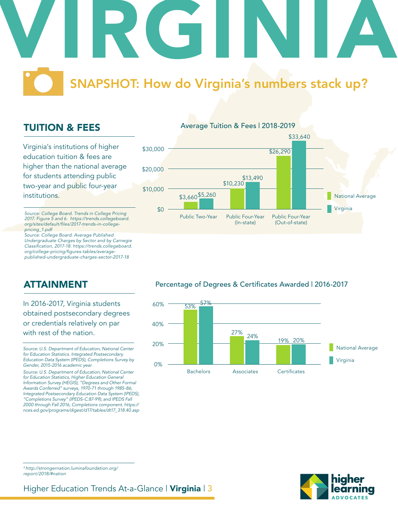## VIRGINIA SNAPSHOT: How do Virginia's numbers stack up?

### TUITION & FEES

Virginia's institutions of higher education tuition & fees are higher than the national average for students attending public two-year and public four-year institutions.

*Source: College Board. Trends in College Pricing 2017. Figure 5 and 6. https://trends.collegeboard.* org/sites/default/files/2017-trends-in-college*pricing\_1.pdf*

*Source: College Board. Average Published Undergraduate Charges by Sector and by Carnegie*  Classification, 2017-18. https://trends.collegeboard. org/college-pricing/figures-tables/average*published-undergraduate-charges-sector-2017-18*



ATTAINMENT

In 2016-2017, Virginia students obtained postsecondary degrees or credentials relatively on par with rest of the nation.

*Source: U.S. Department of Education, National Center for Education Statistics. Integrated Postsecondary Education Data System (IPEDS), Completions Survey by Gender, 2015-2016 academic year.* 

*Source: U.S. Department of Education, National Center for Education Statistics, Higher Education General Information Survey (HEGIS), "Degrees and Other Formal Awards Conferred" surveys, 1970-71 through 1985-86; Integrated Postsecondary Education Data System (IPEDS), "Completions Survey" (IPEDS-C:87-99); and IPEDS Fall 2000 through Fall 2016, Completions component. https:// nces.ed.gov/programs/digest/d17/tables/dt17\_318.40.asp*

### Percentage of Degrees & Certificates Awarded | 2016-2017



*4 http://strongernation.luminafoundation.org/ report/2018/#nation*

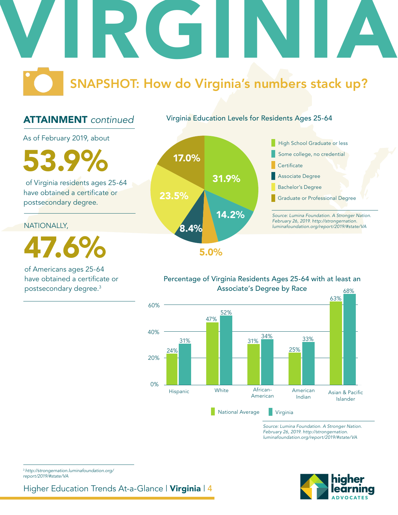## VIRGINIA SNAPSHOT: How do Virginia's numbers stack up?

### ATTAINMENT *continued*

Virginia Education Levels for Residents Ages 25-64

As of February 2019, about

 $17.0\%$ 

 of Virginia residents ages 25-64 have obtained a certificate or postsecondary degree.

NATIONALLY,

47.6%

of Americans ages 25-64 have obtained a certificate or postsecondary degree.3





### Percentage of Virginia Residents Ages 25-64 with at least an



*Source: Lumina Foundation. A Stronger Nation. February 26, 2019. http://strongernation. luminafoundation.org/report/2019/#state/VA*



<sup>3</sup>*http://strongernation.luminafoundation.org/ report/2019/#state/VA*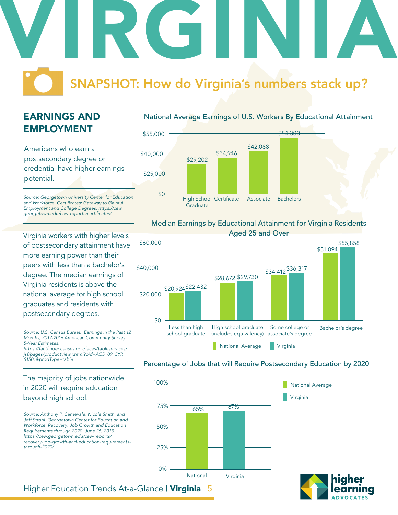### VIRGINIA SNAPSHOT: How do Virginia's numbers stack up?

### EARNINGS AND EMPLOYMENT

Americans who earn a postsecondary degree or credential have higher earnings potential.

*Source: Georgetown University Center for Education*  and Workforce. Certificates: Gateway to Gainful *Employment and College Degrees. https://cew.* georgetown.edu/cew-reports/certificates/

Virginia workers with higher levels of postsecondary attainment have more earning power than their peers with less than a bachelor's degree. The median earnings of Virginia residents is above the national average for high school graduates and residents with postsecondary degrees.

*Source: U.S. Census Bureau, Earnings in the Past 12 Months, 2012-2016 American Community Survey 5-Year Estimates.* https://factfinder.census.gov/faces/tableservices/ *jsf/pages/productview.xhtml?pid=ACS\_09\_5YR\_*

*S1501&prodType=table*

### The majority of jobs nationwide in 2020 will require education beyond high school.

*Source: Anthony P. Carnevale, Nicole Smith, and Jeff Strohl. Georgetown Center for Education and Workforce. Recovery: Job Growth and Education Requirements through 2020. June 26, 2013. https://cew.georgetown.edu/cew-reports/ recovery-job-growth-and-education-requirementsthrough-2020/*

### National Average Earnings of U.S. Workers By Educational Attainment



#### Median Earnings by Educational Attainment for Virginia Residents Aged 25 and Over



### Percentage of Jobs that will Require Postsecondary Education by 2020